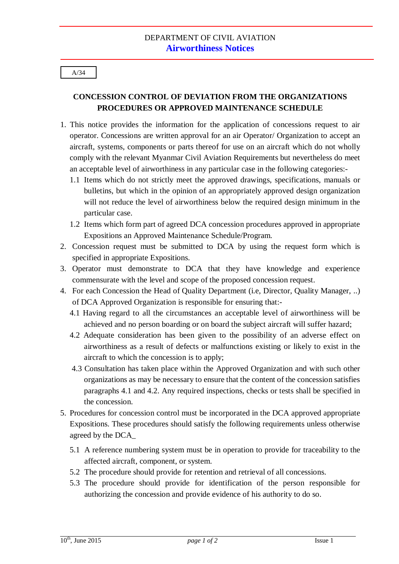## A/34

## **CONCESSION CONTROL OF DEVIATION FROM THE ORGANIZATIONS PROCEDURES OR APPROVED MAINTENANCE SCHEDULE**

- 1. This notice provides the information for the application of concessions request to air operator. Concessions are written approval for an air Operator/ Organization to accept an aircraft, systems, components or parts thereof for use on an aircraft which do not wholly comply with the relevant Myanmar Civil Aviation Requirements but nevertheless do meet an acceptable level of airworthiness in any particular case in the following categories:-
	- 1.1 Items which do not strictly meet the approved drawings, specifications, manuals or bulletins, but which in the opinion of an appropriately approved design organization will not reduce the level of airworthiness below the required design minimum in the particular case.
	- 1.2 Items which form part of agreed DCA concession procedures approved in appropriate Expositions an Approved Maintenance Schedule/Program.
- 2. Concession request must be submitted to DCA by using the request form which is specified in appropriate Expositions.
- 3. Operator must demonstrate to DCA that they have knowledge and experience commensurate with the level and scope of the proposed concession request.
- 4. For each Concession the Head of Quality Department (i.e, Director, Quality Manager, ..) of DCA Approved Organization is responsible for ensuring that:-
	- 4.1 Having regard to all the circumstances an acceptable level of airworthiness will be achieved and no person boarding or on board the subject aircraft will suffer hazard;
	- 4.2 Adequate consideration has been given to the possibility of an adverse effect on airworthiness as a result of defects or malfunctions existing or likely to exist in the aircraft to which the concession is to apply;
	- 4.3 Consultation has taken place within the Approved Organization and with such other organizations as may be necessary to ensure that the content of the concession satisfies paragraphs 4.1 and 4.2. Any required inspections, checks or tests shall be specified in the concession.
- 5. Procedures for concession control must be incorporated in the DCA approved appropriate Expositions. These procedures should satisfy the following requirements unless otherwise agreed by the DCA\_
	- 5.1 A reference numbering system must be in operation to provide for traceability to the affected aircraft, component, or system.
	- 5.2 The procedure should provide for retention and retrieval of all concessions.
	- 5.3 The procedure should provide for identification of the person responsible for authorizing the concession and provide evidence of his authority to do so.